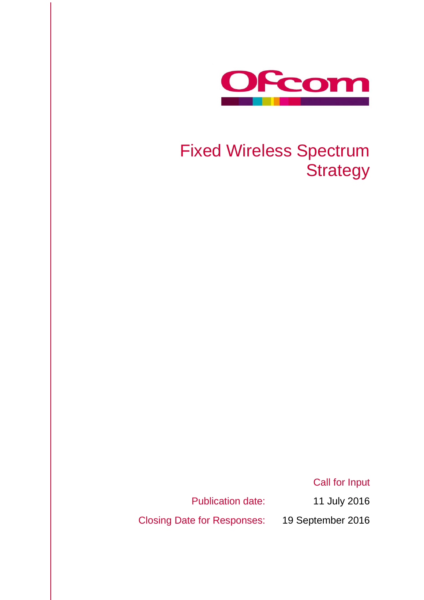

# Fixed Wireless Spectrum **Strategy**

Call for Input

Closing Date for Responses: 19 September 2016

Publication date: 11 July 2016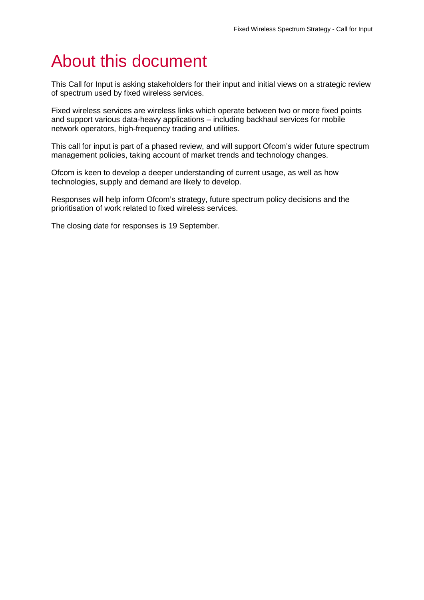# About this document

This Call for Input is asking stakeholders for their input and initial views on a strategic review of spectrum used by fixed wireless services.

Fixed wireless services are wireless links which operate between two or more fixed points and support various data-heavy applications – including backhaul services for mobile network operators, high-frequency trading and utilities.

This call for input is part of a phased review, and will support Ofcom's wider future spectrum management policies, taking account of market trends and technology changes.

Ofcom is keen to develop a deeper understanding of current usage, as well as how technologies, supply and demand are likely to develop.

Responses will help inform Ofcom's strategy, future spectrum policy decisions and the prioritisation of work related to fixed wireless services.

The closing date for responses is 19 September.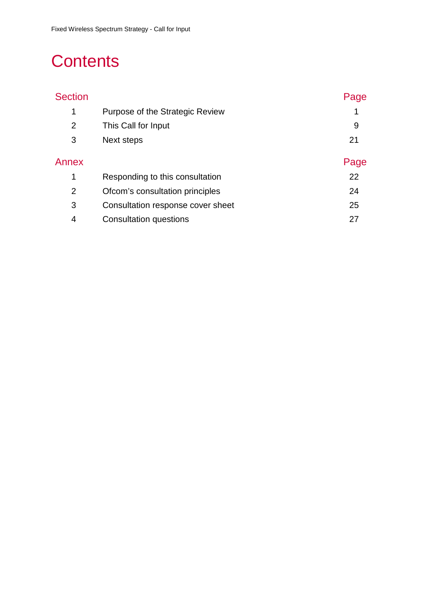# **Contents**

| <b>Section</b> |                                   | Page |
|----------------|-----------------------------------|------|
| $\mathbf 1$    | Purpose of the Strategic Review   | 1    |
| $\overline{2}$ | This Call for Input               | 9    |
| 3              | Next steps                        | 21   |
| Annex          |                                   | Page |
| 1              | Responding to this consultation   | 22   |
| 2              | Ofcom's consultation principles   | 24   |
| 3              | Consultation response cover sheet | 25   |
| 4              | Consultation questions            | 27   |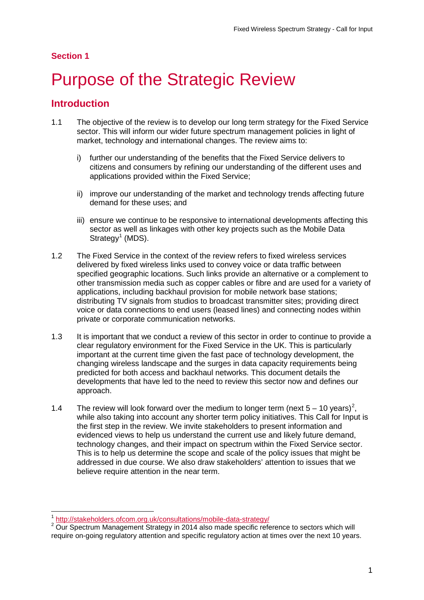## **Section 1**

# <span id="page-3-0"></span>Purpose of the Strategic Review

## **Introduction**

- 1.1 The objective of the review is to develop our long term strategy for the Fixed Service sector. This will inform our wider future spectrum management policies in light of market, technology and international changes. The review aims to:
	- i) further our understanding of the benefits that the Fixed Service delivers to citizens and consumers by refining our understanding of the different uses and applications provided within the Fixed Service;
	- ii) improve our understanding of the market and technology trends affecting future demand for these uses; and
	- iii) ensure we continue to be responsive to international developments affecting this sector as well as linkages with other key projects such as the Mobile Data  $Strategy<sup>1</sup> (MDS).$  $Strategy<sup>1</sup> (MDS).$  $Strategy<sup>1</sup> (MDS).$
- 1.2 The Fixed Service in the context of the review refers to fixed wireless services delivered by fixed wireless links used to convey voice or data traffic between specified geographic locations. Such links provide an alternative or a complement to other transmission media such as copper cables or fibre and are used for a variety of applications, including backhaul provision for mobile network base stations; distributing TV signals from studios to broadcast transmitter sites; providing direct voice or data connections to end users (leased lines) and connecting nodes within private or corporate communication networks.
- 1.3 It is important that we conduct a review of this sector in order to continue to provide a clear regulatory environment for the Fixed Service in the UK. This is particularly important at the current time given the fast pace of technology development, the changing wireless landscape and the surges in data capacity requirements being predicted for both access and backhaul networks. This document details the developments that have led to the need to review this sector now and defines our approach.
- 1.4 The review will look forward over the medium to longer term (next  $5 10$  years)<sup>[2](#page-3-2)</sup>. while also taking into account any shorter term policy initiatives. This Call for Input is the first step in the review. We invite stakeholders to present information and evidenced views to help us understand the current use and likely future demand, technology changes, and their impact on spectrum within the Fixed Service sector. This is to help us determine the scope and scale of the policy issues that might be addressed in due course. We also draw stakeholders' attention to issues that we believe require attention in the near term.

 $\overline{a}$ 

<span id="page-3-2"></span><span id="page-3-1"></span> $\frac{1}{2}$  <http://stakeholders.ofcom.org.uk/consultations/mobile-data-strategy/><br> $\frac{2}{2}$  Our Spectrum Management Strategy in 2014 also made specific reference to sectors which will require on-going regulatory attention and specific regulatory action at times over the next 10 years.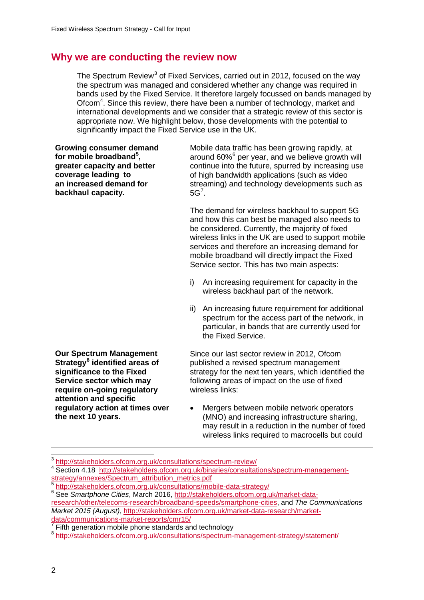# **Why we are conducting the review now**

The Spectrum Review<sup>[3](#page-4-0)</sup> of Fixed Services, carried out in 2012, focused on the way the spectrum was managed and considered whether any change was required in bands used by the Fixed Service. It therefore largely focussed on bands managed by Ofcom<sup>[4](#page-4-1)</sup>. Since this review, there have been a number of technology, market and international developments and we consider that a strategic review of this sector is appropriate now. We highlight below, those developments with the potential to significantly impact the Fixed Service use in the UK.

| <b>Growing consumer demand</b><br>for mobile broadband <sup>5</sup> ,<br>greater capacity and better<br>coverage leading to<br>an increased demand for<br>backhaul capacity.                  | Mobile data traffic has been growing rapidly, at<br>around 60% <sup>6</sup> per year, and we believe growth will<br>continue into the future, spurred by increasing use<br>of high bandwidth applications (such as video<br>streaming) and technology developments such as<br>$5G7$ .                                                                                                                                                                                                                                     |  |
|-----------------------------------------------------------------------------------------------------------------------------------------------------------------------------------------------|---------------------------------------------------------------------------------------------------------------------------------------------------------------------------------------------------------------------------------------------------------------------------------------------------------------------------------------------------------------------------------------------------------------------------------------------------------------------------------------------------------------------------|--|
|                                                                                                                                                                                               | The demand for wireless backhaul to support 5G<br>and how this can best be managed also needs to<br>be considered. Currently, the majority of fixed<br>wireless links in the UK are used to support mobile<br>services and therefore an increasing demand for<br>mobile broadband will directly impact the Fixed<br>Service sector. This has two main aspects:<br>An increasing requirement for capacity in the<br>i)<br>wireless backhaul part of the network.<br>An increasing future requirement for additional<br>ii) |  |
|                                                                                                                                                                                               | spectrum for the access part of the network, in<br>particular, in bands that are currently used for<br>the Fixed Service.                                                                                                                                                                                                                                                                                                                                                                                                 |  |
| <b>Our Spectrum Management</b><br>Strategy <sup>8</sup> identified areas of<br>significance to the Fixed<br>Service sector which may<br>require on-going regulatory<br>attention and specific | Since our last sector review in 2012, Ofcom<br>published a revised spectrum management<br>strategy for the next ten years, which identified the<br>following areas of impact on the use of fixed<br>wireless links:                                                                                                                                                                                                                                                                                                       |  |
| regulatory action at times over<br>the next 10 years.                                                                                                                                         | Mergers between mobile network operators<br>$\bullet$<br>(MNO) and increasing infrastructure sharing,<br>may result in a reduction in the number of fixed<br>wireless links required to macrocells but could                                                                                                                                                                                                                                                                                                              |  |

<sup>&</sup>lt;sup>3</sup> <http://stakeholders.ofcom.org.uk/consultations/spectrum-review/>  $\overline{a}$ 

<span id="page-4-1"></span><span id="page-4-0"></span><sup>4</sup> Section 4.18 http://stakeholders.ofcom.org.uk/binaries/consultations/spectrum-management-<br>strategy/annexes/Spectrum\_attribution\_metrics.pdf

<span id="page-4-3"></span><span id="page-4-2"></span><sup>&</sup>lt;sup>5</sup> <http://stakeholders.ofcom.org.uk/consultations/mobile-data-strategy/><br><sup>6</sup> See *Smartphone Cities*, March 2016, <u>http://stakeholders.ofcom.org.uk/market-data-</u> [research/other/telecoms-research/broadband-speeds/smartphone-cities,](http://stakeholders.ofcom.org.uk/market-data-research/other/telecoms-research/broadband-speeds/smartphone-cities) and *The Communications Market 2015 (August)*, [http://stakeholders.ofcom.org.uk/market-data-research/market-](http://stakeholders.ofcom.org.uk/market-data-research/market-data/communications-market-reports/cmr15/)

<span id="page-4-5"></span><span id="page-4-4"></span> $\frac{7}{8}$  Fifth generation mobile phone standards and technology  $\frac{8 \text{ http://stakeholders.ofcom.org.uk/consultations/spectrum-management-strategy/statement/}{8}$  $\frac{8 \text{ http://stakeholders.ofcom.org.uk/consultations/spectrum-management-strategy/statement/}{8}$  $\frac{8 \text{ http://stakeholders.ofcom.org.uk/consultations/spectrum-management-strategy/statement/}{8}$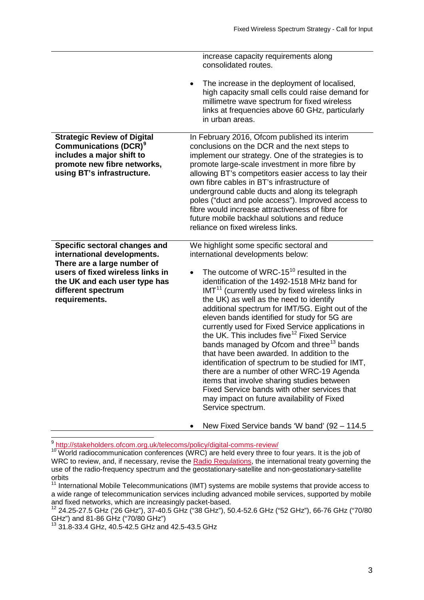|                                                                                                                                                                                                         | increase capacity requirements along<br>consolidated routes.                                                                                                                                                                                                                                                                                                                                                                                                                                                                                                                                                                                                                                                                                                                                                                                                                                           |
|---------------------------------------------------------------------------------------------------------------------------------------------------------------------------------------------------------|--------------------------------------------------------------------------------------------------------------------------------------------------------------------------------------------------------------------------------------------------------------------------------------------------------------------------------------------------------------------------------------------------------------------------------------------------------------------------------------------------------------------------------------------------------------------------------------------------------------------------------------------------------------------------------------------------------------------------------------------------------------------------------------------------------------------------------------------------------------------------------------------------------|
|                                                                                                                                                                                                         | The increase in the deployment of localised,<br>high capacity small cells could raise demand for<br>millimetre wave spectrum for fixed wireless<br>links at frequencies above 60 GHz, particularly<br>in urban areas.                                                                                                                                                                                                                                                                                                                                                                                                                                                                                                                                                                                                                                                                                  |
| <b>Strategic Review of Digital</b><br><b>Communications (DCR)<sup>9</sup></b><br>includes a major shift to<br>promote new fibre networks,<br>using BT's infrastructure.                                 | In February 2016, Ofcom published its interim<br>conclusions on the DCR and the next steps to<br>implement our strategy. One of the strategies is to<br>promote large-scale investment in more fibre by<br>allowing BT's competitors easier access to lay their<br>own fibre cables in BT's infrastructure of<br>underground cable ducts and along its telegraph<br>poles ("duct and pole access"). Improved access to<br>fibre would increase attractiveness of fibre for<br>future mobile backhaul solutions and reduce<br>reliance on fixed wireless links.                                                                                                                                                                                                                                                                                                                                         |
| Specific sectoral changes and<br>international developments.<br>There are a large number of<br>users of fixed wireless links in<br>the UK and each user type has<br>different spectrum<br>requirements. | We highlight some specific sectoral and<br>international developments below:<br>The outcome of WRC-15 <sup>10</sup> resulted in the<br>$\bullet$<br>identification of the 1492-1518 MHz band for<br>IMT <sup>11</sup> (currently used by fixed wireless links in<br>the UK) as well as the need to identify<br>additional spectrum for IMT/5G. Eight out of the<br>eleven bands identified for study for 5G are<br>currently used for Fixed Service applications in<br>the UK. This includes five <sup>12</sup> Fixed Service<br>bands managed by Ofcom and three <sup>13</sup> bands<br>that have been awarded. In addition to the<br>identification of spectrum to be studied for IMT,<br>there are a number of other WRC-19 Agenda<br>items that involve sharing studies between<br>Fixed Service bands with other services that<br>may impact on future availability of Fixed<br>Service spectrum. |
|                                                                                                                                                                                                         | New Fixed Service bands 'W band' (92 - 114.5)                                                                                                                                                                                                                                                                                                                                                                                                                                                                                                                                                                                                                                                                                                                                                                                                                                                          |

9 <http://stakeholders.ofcom.org.uk/telecoms/policy/digital-comms-review/>

 $\overline{a}$ 

<span id="page-5-1"></span><span id="page-5-0"></span><sup>&</sup>lt;sup>10</sup> World radiocommunication conferences (WRC) are held every three to four years. It is the job of WRC to review, and, if necessary, revise the [Radio Regulations,](http://www.itu.int/pub/R-REG-RR/en) the international treaty governing the use of the radio-frequency spectrum and the geostationary-satellite and non-geostationary-satellite orbits

<span id="page-5-2"></span><sup>&</sup>lt;sup>11</sup> International Mobile Telecommunications (IMT) systems are mobile systems that provide access to a wide range of telecommunication services including advanced mobile services, supported by mobile and fixed networks, which are increasingly packet-based.

<span id="page-5-3"></span><sup>12</sup> 24.25-27.5 GHz ('26 GHz"), 37-40.5 GHz ("38 GHz"), 50.4-52.6 GHz ("52 GHz"), 66-76 GHz ("70/80 GHz") and 81-86 GHz ("70/80 GHz")<br><sup>13</sup> 31.8-33.4 GHz, 40.5-42.5 GHz and 42.5-43.5 GHz

<span id="page-5-4"></span>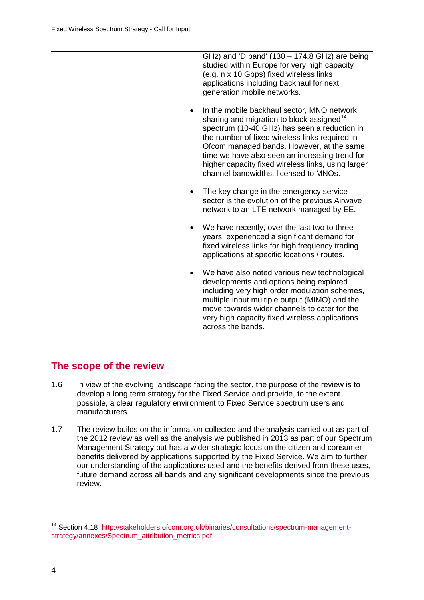GHz) and 'D band' (130 – 174.8 GHz) are being studied within Europe for very high capacity (e.g. n x 10 Gbps) fixed wireless links applications including backhaul for next generation mobile networks.

- In the mobile backhaul sector, MNO network sharing and migration to block assigned<sup>[14](#page-6-0)</sup> spectrum (10-40 GHz) has seen a reduction in the number of fixed wireless links required in Ofcom managed bands. However, at the same time we have also seen an increasing trend for higher capacity fixed wireless links, using larger channel bandwidths, licensed to MNOs.
- The key change in the emergency service sector is the evolution of the previous Airwave network to an LTE network managed by EE.
- We have recently, over the last two to three years, experienced a significant demand for fixed wireless links for high frequency trading applications at specific locations / routes.
- We have also noted various new technological developments and options being explored including very high order modulation schemes, multiple input multiple output (MIMO) and the move towards wider channels to cater for the very high capacity fixed wireless applications across the bands.

# **The scope of the review**

- 1.6 In view of the evolving landscape facing the sector, the purpose of the review is to develop a long term strategy for the Fixed Service and provide, to the extent possible, a clear regulatory environment to Fixed Service spectrum users and manufacturers.
- 1.7 The review builds on the information collected and the analysis carried out as part of the 2012 review as well as the analysis we published in 2013 as part of our Spectrum Management Strategy but has a wider strategic focus on the citizen and consumer benefits delivered by applications supported by the Fixed Service. We aim to further our understanding of the applications used and the benefits derived from these uses, future demand across all bands and any significant developments since the previous review.

 $\overline{a}$ 

<span id="page-6-0"></span><sup>&</sup>lt;sup>14</sup> Section 4.18 [http://stakeholders.ofcom.org.uk/binaries/consultations/spectrum-management](http://stakeholders.ofcom.org.uk/binaries/consultations/spectrum-management-strategy/annexes/Spectrum_attribution_metrics.pdf)strategy/annexes/Spectrum\_attribution\_metrics.pdf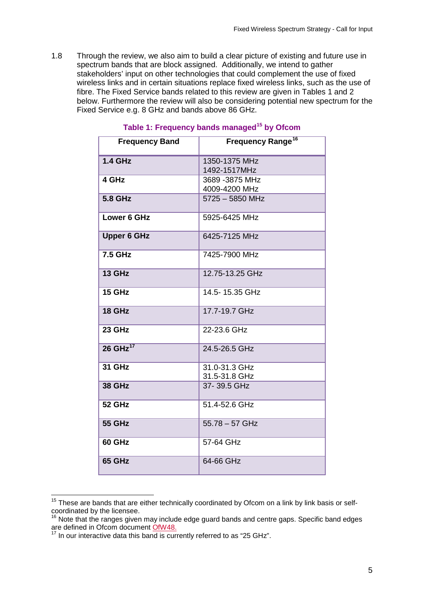1.8 Through the review, we also aim to build a clear picture of existing and future use in spectrum bands that are block assigned. Additionally, we intend to gather stakeholders' input on other technologies that could complement the use of fixed wireless links and in certain situations replace fixed wireless links, such as the use of fibre. The Fixed Service bands related to this review are given in Tables 1 and 2 below. Furthermore the review will also be considering potential new spectrum for the Fixed Service e.g. 8 GHz and bands above 86 GHz.

| <b>Frequency Band</b>  | Frequency Range <sup>16</sup>    |
|------------------------|----------------------------------|
| <b>1.4 GHz</b>         | 1350-1375 MHz<br>1492-1517MHz    |
| 4 GHz                  | 3689 - 3875 MHz<br>4009-4200 MHz |
| <b>5.8 GHz</b>         | $5725 - 5850$ MHz                |
| Lower 6 GHz            | 5925-6425 MHz                    |
| <b>Upper 6 GHz</b>     | 6425-7125 MHz                    |
| <b>7.5 GHz</b>         | 7425-7900 MHz                    |
| <b>13 GHz</b>          | 12.75-13.25 GHz                  |
| 15 GHz                 | 14.5-15.35 GHz                   |
| 18 GHz                 | 17.7-19.7 GHz                    |
| 23 GHz                 | 22-23.6 GHz                      |
| $26$ GHz <sup>17</sup> | 24.5-26.5 GHz                    |
| <b>31 GHz</b>          | 31.0-31.3 GHz<br>31.5-31.8 GHz   |
| <b>38 GHz</b>          | 37-39.5 GHz                      |
| <b>52 GHz</b>          | 51.4-52.6 GHz                    |
| <b>55 GHz</b>          | $55.78 - 57$ GHz                 |
| <b>60 GHz</b>          | 57-64 GHz                        |
| 65 GHz                 | 64-66 GHz                        |

## **Table 1: Frequency bands managed[15](#page-7-0) by Ofcom**

<span id="page-7-0"></span> $15$  These are bands that are either technically coordinated by Ofcom on a link by link basis or selfcoordinated by the licensee.  $\overline{a}$ 

<span id="page-7-2"></span><span id="page-7-1"></span><sup>&</sup>lt;sup>16</sup> Note that the ranges given may include edge guard bands and centre gaps. Specific band edges are defined in Ofcom document  $\frac{OFW48}{9}$ .

In our interactive data this band is currently referred to as "25 GHz".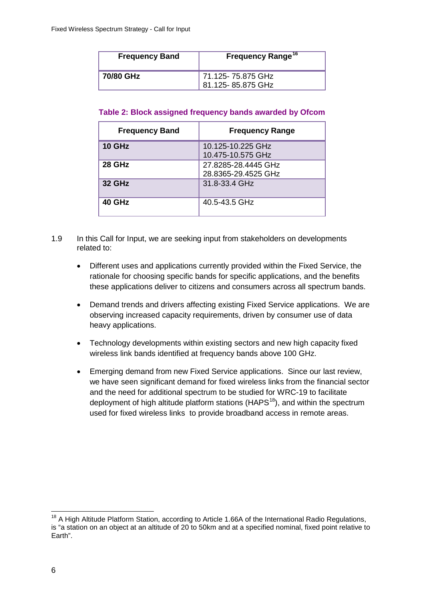| <b>Frequency Band</b> | <b>Frequency Range<sup>16</sup></b>     |
|-----------------------|-----------------------------------------|
| 70/80 GHz             | 71.125- 75.875 GHz<br>81.125-85.875 GHz |

| <b>Frequency Band</b> | <b>Frequency Range</b>                     |
|-----------------------|--------------------------------------------|
| <b>10 GHz</b>         | 10.125-10.225 GHz<br>10.475-10.575 GHz     |
| <b>28 GHz</b>         | 27.8285-28.4445 GHz<br>28.8365-29.4525 GHz |
| <b>32 GHz</b>         | 31.8-33.4 GHz                              |
| 40 GHz                | 40.5-43.5 GHz                              |

- 1.9 In this Call for Input, we are seeking input from stakeholders on developments related to:
	- Different uses and applications currently provided within the Fixed Service, the rationale for choosing specific bands for specific applications, and the benefits these applications deliver to citizens and consumers across all spectrum bands.
	- Demand trends and drivers affecting existing Fixed Service applications. We are observing increased capacity requirements, driven by consumer use of data heavy applications.
	- Technology developments within existing sectors and new high capacity fixed wireless link bands identified at frequency bands above 100 GHz.
	- Emerging demand from new Fixed Service applications. Since our last review, we have seen significant demand for fixed wireless links from the financial sector and the need for additional spectrum to be studied for WRC-19 to facilitate deployment of high altitude platform stations (HAPS<sup>[18](#page-8-0)</sup>), and within the spectrum used for fixed wireless links to provide broadband access in remote areas.

<span id="page-8-0"></span><sup>&</sup>lt;sup>18</sup> A High Altitude Platform Station, according to Article 1.66A of the International Radio Regulations, is "a station on an object at an altitude of 20 to 50km and at a specified nominal, fixed point relative to Earth".  $\overline{a}$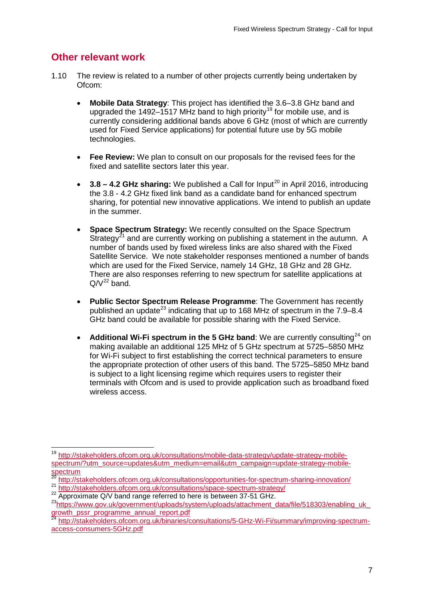# **Other relevant work**

- 1.10 The review is related to a number of other projects currently being undertaken by Ofcom:
	- **Mobile Data Strategy**: This project has identified the 3.6–3.8 GHz band and upgraded the 1492–1517 MHz band to high priority<sup>[19](#page-9-0)</sup> for mobile use, and is currently considering additional bands above 6 GHz (most of which are currently used for Fixed Service applications) for potential future use by 5G mobile technologies.
	- **Fee Review:** We plan to consult on our proposals for the revised fees for the fixed and satellite sectors later this year.
	- **3.8 4.2 GHz sharing:** We published a Call for Input<sup>[20](#page-9-1)</sup> in April 2016, introducing the 3.8 - 4.2 GHz fixed link band as a candidate band for enhanced spectrum sharing, for potential new innovative applications. We intend to publish an update in the summer.
	- **Space Spectrum Strategy:** We recently consulted on the Space Spectrum Strategy<sup>[21](#page-9-2)</sup> and are currently working on publishing a statement in the autumn. A number of bands used by fixed wireless links are also shared with the Fixed Satellite Service. We note stakeholder responses mentioned a number of bands which are used for the Fixed Service, namely 14 GHz, 18 GHz and 28 GHz. There are also responses referring to new spectrum for satellite applications at  $Q/V^{22}$  $Q/V^{22}$  $Q/V^{22}$  band.
	- **Public Sector Spectrum Release Programme**: The Government has recently published an update<sup>[23](#page-9-4)</sup> indicating that up to 168 MHz of spectrum in the  $7.9-8.4$ GHz band could be available for possible sharing with the Fixed Service.
	- **Additional Wi-Fi spectrum in the 5 GHz band:** We are currently consulting<sup>[24](#page-9-5)</sup> on making available an additional 125 MHz of 5 GHz spectrum at 5725–5850 MHz for Wi-Fi subject to first establishing the correct technical parameters to ensure the appropriate protection of other users of this band. The 5725–5850 MHz band is subject to a light licensing regime which requires users to register their terminals with Ofcom and is used to provide application such as broadband fixed wireless access.

<span id="page-9-0"></span><sup>&</sup>lt;sup>19</sup> [http://stakeholders.ofcom.org.uk/consultations/mobile-data-strategy/update-strategy-mobile](http://stakeholders.ofcom.org.uk/consultations/mobile-data-strategy/update-strategy-mobile-spectrum/?utm_source=updates&utm_medium=email&utm_campaign=update-strategy-mobile-spectrum)[spectrum/?utm\\_source=updates&utm\\_medium=email&utm\\_campaign=update-strategy-mobile](http://stakeholders.ofcom.org.uk/consultations/mobile-data-strategy/update-strategy-mobile-spectrum/?utm_source=updates&utm_medium=email&utm_campaign=update-strategy-mobile-spectrum)[spectrum](http://stakeholders.ofcom.org.uk/consultations/mobile-data-strategy/update-strategy-mobile-spectrum/?utm_source=updates&utm_medium=email&utm_campaign=update-strategy-mobile-spectrum)  $\overline{a}$ 

<sup>20</sup> <http://stakeholders.ofcom.org.uk/consultations/opportunities-for-spectrum-sharing-innovation/>

<span id="page-9-2"></span><span id="page-9-1"></span><sup>21</sup> <http://stakeholders.ofcom.org.uk/consultations/space-spectrum-strategy/><br>22 Approximate Q/V band range referred to here is between 37-51 GHz.

<span id="page-9-4"></span><span id="page-9-3"></span>[<sup>23</sup>https://www.gov.uk/government/uploads/system/uploads/attachment\\_data/file/518303/enabling\\_uk\\_](https://www.gov.uk/government/uploads/system/uploads/attachment_data/file/518303/enabling_uk_growth_pssr_programme_annual_report.pdf) [growth\\_pssr\\_programme\\_annual\\_report.pdf](https://www.gov.uk/government/uploads/system/uploads/attachment_data/file/518303/enabling_uk_growth_pssr_programme_annual_report.pdf)

<span id="page-9-5"></span><sup>24</sup> [http://stakeholders.ofcom.org.uk/binaries/consultations/5-GHz-Wi-Fi/summary/improving-spectrum](http://stakeholders.ofcom.org.uk/binaries/consultations/5-GHz-Wi-Fi/summary/improving-spectrum-access-consumers-5GHz.pdf)[access-consumers-5GHz.pdf](http://stakeholders.ofcom.org.uk/binaries/consultations/5-GHz-Wi-Fi/summary/improving-spectrum-access-consumers-5GHz.pdf)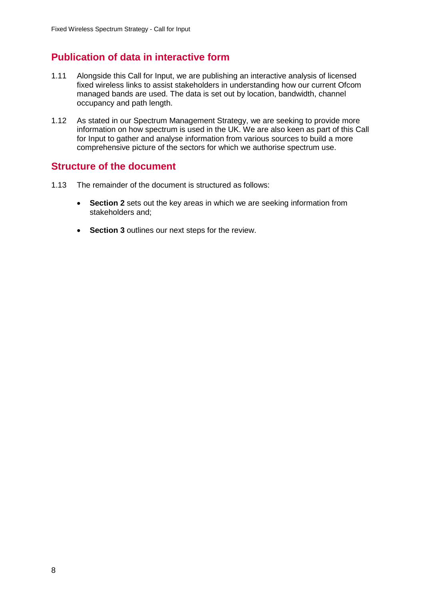# **Publication of data in interactive form**

- 1.11 Alongside this Call for Input, we are publishing an interactive analysis of licensed fixed wireless links to assist stakeholders in understanding how our current Ofcom managed bands are used. The data is set out by location, bandwidth, channel occupancy and path length.
- 1.12 As stated in our Spectrum Management Strategy, we are seeking to provide more information on how spectrum is used in the UK. We are also keen as part of this Call for Input to gather and analyse information from various sources to build a more comprehensive picture of the sectors for which we authorise spectrum use.

## **Structure of the document**

- 1.13 The remainder of the document is structured as follows:
	- **Section 2** sets out the key areas in which we are seeking information from stakeholders and;
	- **Section 3** outlines our next steps for the review.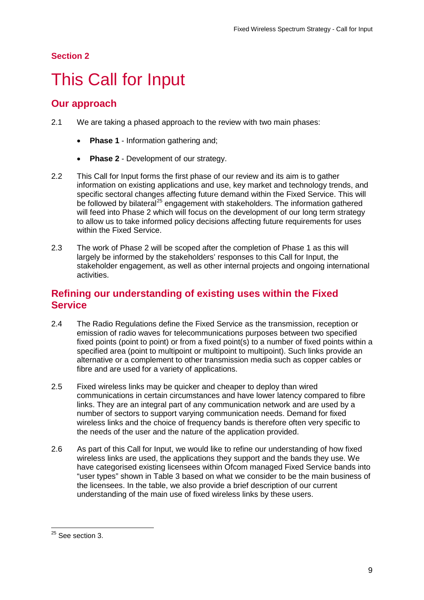## **Section 2**

# <span id="page-11-0"></span>2 This Call for Input

# **Our approach**

- 2.1 We are taking a phased approach to the review with two main phases:
	- **Phase 1** Information gathering and;
	- **Phase 2** Development of our strategy.
- 2.2 This Call for Input forms the first phase of our review and its aim is to gather information on existing applications and use, key market and technology trends, and specific sectoral changes affecting future demand within the Fixed Service. This will be followed by bilateral<sup>[25](#page-11-1)</sup> engagement with stakeholders. The information gathered will feed into Phase 2 which will focus on the development of our long term strategy to allow us to take informed policy decisions affecting future requirements for uses within the Fixed Service.
- 2.3 The work of Phase 2 will be scoped after the completion of Phase 1 as this will largely be informed by the stakeholders' responses to this Call for Input, the stakeholder engagement, as well as other internal projects and ongoing international activities.

# **Refining our understanding of existing uses within the Fixed Service**

- 2.4 The Radio Regulations define the Fixed Service as the transmission, reception or emission of radio waves for telecommunications purposes between two specified fixed points (point to point) or from a fixed point(s) to a number of fixed points within a specified area (point to multipoint or multipoint to multipoint). Such links provide an alternative or a complement to other transmission media such as copper cables or fibre and are used for a variety of applications.
- 2.5 Fixed wireless links may be quicker and cheaper to deploy than wired communications in certain circumstances and have lower latency compared to fibre links. They are an integral part of any communication network and are used by a number of sectors to support varying communication needs. Demand for fixed wireless links and the choice of frequency bands is therefore often very specific to the needs of the user and the nature of the application provided.
- 2.6 As part of this Call for Input, we would like to refine our understanding of how fixed wireless links are used, the applications they support and the bands they use. We have categorised existing licensees within Ofcom managed Fixed Service bands into "user types" shown in Table 3 based on what we consider to be the main business of the licensees. In the table, we also provide a brief description of our current understanding of the main use of fixed wireless links by these users.

<span id="page-11-1"></span> $25$  See section 3.  $\overline{a}$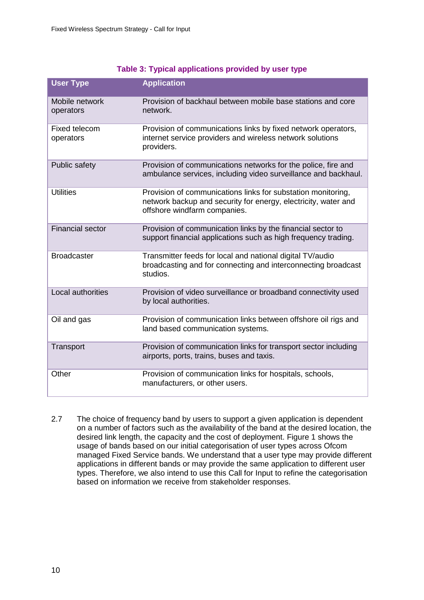## **Table 3: Typical applications provided by user type**

| <b>User Type</b>            | <b>Application</b>                                                                                                                                             |
|-----------------------------|----------------------------------------------------------------------------------------------------------------------------------------------------------------|
| Mobile network<br>operators | Provision of backhaul between mobile base stations and core<br>network.                                                                                        |
| Fixed telecom<br>operators  | Provision of communications links by fixed network operators,<br>internet service providers and wireless network solutions<br>providers.                       |
| Public safety               | Provision of communications networks for the police, fire and<br>ambulance services, including video surveillance and backhaul.                                |
| <b>Utilities</b>            | Provision of communications links for substation monitoring,<br>network backup and security for energy, electricity, water and<br>offshore windfarm companies. |
| <b>Financial sector</b>     | Provision of communication links by the financial sector to<br>support financial applications such as high frequency trading.                                  |
| <b>Broadcaster</b>          | Transmitter feeds for local and national digital TV/audio<br>broadcasting and for connecting and interconnecting broadcast<br>studios.                         |
| Local authorities           | Provision of video surveillance or broadband connectivity used<br>by local authorities.                                                                        |
| Oil and gas                 | Provision of communication links between offshore oil rigs and<br>land based communication systems.                                                            |
| Transport                   | Provision of communication links for transport sector including<br>airports, ports, trains, buses and taxis.                                                   |
| Other                       | Provision of communication links for hospitals, schools,<br>manufacturers, or other users.                                                                     |

2.7 The choice of frequency band by users to support a given application is dependent on a number of factors such as the availability of the band at the desired location, the desired link length, the capacity and the cost of deployment. Figure 1 shows the usage of bands based on our initial categorisation of user types across Ofcom managed Fixed Service bands. We understand that a user type may provide different applications in different bands or may provide the same application to different user types. Therefore, we also intend to use this Call for Input to refine the categorisation based on information we receive from stakeholder responses.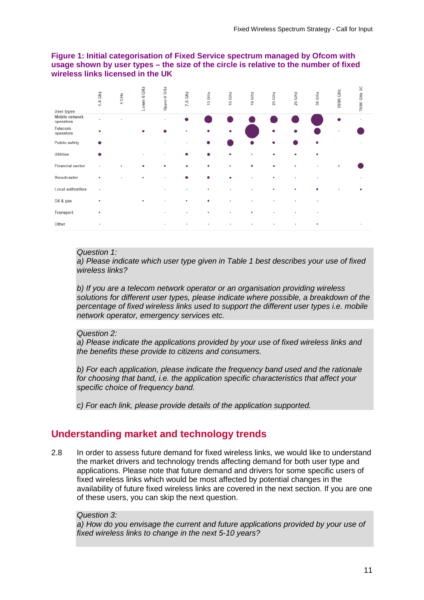### **Figure 1: Initial categorisation of Fixed Service spectrum managed by Ofcom with usage shown by user types – the size of the circle is relative to the number of fixed wireless links licensed in the UK**

| <b>User types</b>                  | 1.4 GHz | 4 GHz | 6 GHz<br>Lower | 6 GHz<br>Upper       | 7.5 GHz | GHZ<br>ę | 15 GHz    | 18 GHz    | 23 GHz | 25 GHz | GHZ<br>33 | 70/80 GHz | ပ္တ<br><b>70/80 GHz</b> |
|------------------------------------|---------|-------|----------------|----------------------|---------|----------|-----------|-----------|--------|--------|-----------|-----------|-------------------------|
| <b>Mobile network</b><br>operators | ٠       | ٠     |                | $\ddot{\phantom{1}}$ |         |          |           |           |        |        |           |           | ٠                       |
| <b>Telecom</b><br>operators        |         |       | ٠              |                      | ٠       | ۰        | ٠         |           | ٠      | ۰      |           |           |                         |
| <b>Public safety</b>               |         |       |                | ٠                    | ٠       |          |           |           | ٠      |        |           |           |                         |
| <b>Utilities</b>                   |         |       | ٠              | ٠                    |         |          | ٠         | ٠         | ٠      | ٠      |           |           |                         |
| <b>Financial sector</b>            | ٠       |       |                |                      | ۰       | ٠        | ٠         | ٠         | ٠      | ٠      |           |           |                         |
| <b>Broadcaster</b>                 | ٠       |       |                | ٠                    |         |          | ٠         | $\bullet$ | ٠      | ٠      | ٠         |           |                         |
| <b>Local authorities</b>           | ٠       |       |                | $\sim$               | ٠       | ٠        | ٠         | $\sim$    | ٠      | ٠      |           |           |                         |
| Oil & gas                          | ٠       |       |                |                      | ٠       |          | $\bullet$ |           |        |        |           |           |                         |
| <b>Transport</b>                   | ٠       |       |                | ٠                    |         | ٠        | ٠         | ٠         |        |        |           |           |                         |
| Other                              | ٠       |       |                | ٠                    | ٠       | ٠        | ٠         | ٠         | ٠      | ٠      | ٠         |           | ٠                       |

#### *Question 1:*

*a) Please indicate which user type given in Table 1 best describes your use of fixed wireless links?*

*b) If you are a telecom network operator or an organisation providing wireless solutions for different user types, please indicate where possible, a breakdown of the percentage of fixed wireless links used to support the different user types i.e. mobile network operator, emergency services etc.*

#### *Question 2:*

*a) Please indicate the applications provided by your use of fixed wireless links and the benefits these provide to citizens and consumers.* 

*b) For each application, please indicate the frequency band used and the rationale for choosing that band, i.e. the application specific characteristics that affect your specific choice of frequency band.*

*c) For each link, please provide details of the application supported.*

## **Understanding market and technology trends**

2.8 In order to assess future demand for fixed wireless links, we would like to understand the market drivers and technology trends affecting demand for both user type and applications. Please note that future demand and drivers for some specific users of fixed wireless links which would be most affected by potential changes in the availability of future fixed wireless links are covered in the next section. If you are one of these users, you can skip the next question.

#### *Question 3:*

*a) How do you envisage the current and future applications provided by your use of fixed wireless links to change in the next 5-10 years?*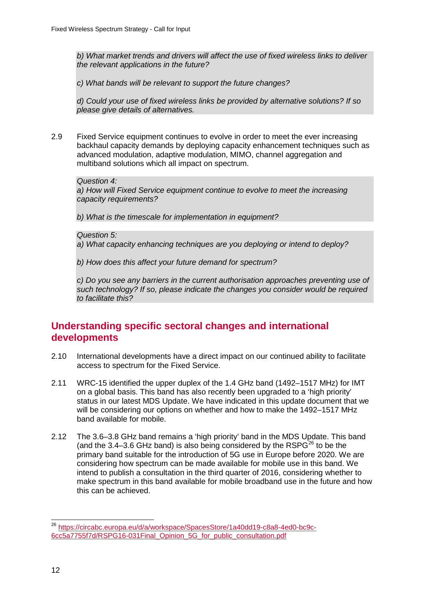*b) What market trends and drivers will affect the use of fixed wireless links to deliver the relevant applications in the future?* 

*c) What bands will be relevant to support the future changes?*

*d) Could your use of fixed wireless links be provided by alternative solutions? If so please give details of alternatives.*

2.9 Fixed Service equipment continues to evolve in order to meet the ever increasing backhaul capacity demands by deploying capacity enhancement techniques such as advanced modulation, adaptive modulation, MIMO, channel aggregation and multiband solutions which all impact on spectrum.

#### *Question 4:*

*a) How will Fixed Service equipment continue to evolve to meet the increasing capacity requirements?*

*b) What is the timescale for implementation in equipment?*

*Question 5:* 

*a) What capacity enhancing techniques are you deploying or intend to deploy?* 

*b) How does this affect your future demand for spectrum?*

*c) Do you see any barriers in the current authorisation approaches preventing use of such technology? If so, please indicate the changes you consider would be required to facilitate this?*

## **Understanding specific sectoral changes and international developments**

- 2.10 International developments have a direct impact on our continued ability to facilitate access to spectrum for the Fixed Service.
- 2.11 WRC-15 identified the upper duplex of the 1.4 GHz band (1492–1517 MHz) for IMT on a global basis. This band has also recently been upgraded to a 'high priority' status in our latest MDS Update. We have indicated in this update document that we will be considering our options on whether and how to make the 1492–1517 MHz band available for mobile.
- 2.12 The 3.6–3.8 GHz band remains a 'high priority' band in the MDS Update. This band (and the 3.4–3.6 GHz band) is also being considered by the  $RSPG^{26}$  $RSPG^{26}$  $RSPG^{26}$  to be the primary band suitable for the introduction of 5G use in Europe before 2020. We are considering how spectrum can be made available for mobile use in this band. We intend to publish a consultation in the third quarter of 2016, considering whether to make spectrum in this band available for mobile broadband use in the future and how this can be achieved.

<span id="page-14-0"></span><sup>&</sup>lt;sup>26</sup> [https://circabc.europa.eu/d/a/workspace/SpacesStore/1a40dd19-c8a8-4ed0-bc9c-](https://circabc.europa.eu/d/a/workspace/SpacesStore/1a40dd19-c8a8-4ed0-bc9c-6cc5a7755f7d/RSPG16-031Final_Opinion_5G_for_public_consultation.pdf)[6cc5a7755f7d/RSPG16-031Final\\_Opinion\\_5G\\_for\\_public\\_consultation.pdf](https://circabc.europa.eu/d/a/workspace/SpacesStore/1a40dd19-c8a8-4ed0-bc9c-6cc5a7755f7d/RSPG16-031Final_Opinion_5G_for_public_consultation.pdf)  $\overline{a}$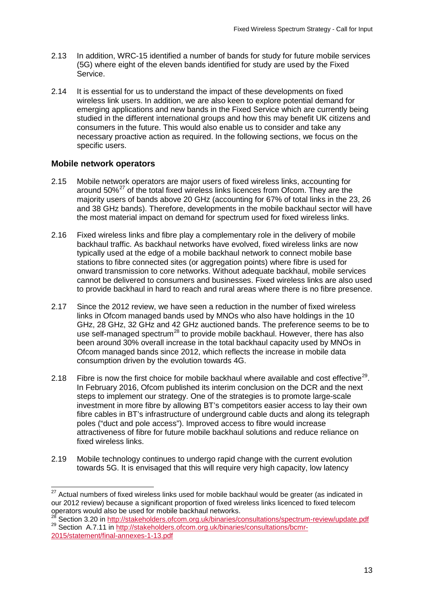- 2.13 In addition, WRC-15 identified a number of bands for study for future mobile services (5G) where eight of the eleven bands identified for study are used by the Fixed Service.
- 2.14 It is essential for us to understand the impact of these developments on fixed wireless link users. In addition, we are also keen to explore potential demand for emerging applications and new bands in the Fixed Service which are currently being studied in the different international groups and how this may benefit UK citizens and consumers in the future. This would also enable us to consider and take any necessary proactive action as required. In the following sections, we focus on the specific users.

## **Mobile network operators**

- 2.15 Mobile network operators are major users of fixed wireless links, accounting for around  $50\%^{27}$  $50\%^{27}$  $50\%^{27}$  of the total fixed wireless links licences from Ofcom. They are the majority users of bands above 20 GHz (accounting for 67% of total links in the 23, 26 and 38 GHz bands). Therefore, developments in the mobile backhaul sector will have the most material impact on demand for spectrum used for fixed wireless links.
- 2.16 Fixed wireless links and fibre play a complementary role in the delivery of mobile backhaul traffic. As backhaul networks have evolved, fixed wireless links are now typically used at the edge of a mobile backhaul network to connect mobile base stations to fibre connected sites (or aggregation points) where fibre is used for onward transmission to core networks. Without adequate backhaul, mobile services cannot be delivered to consumers and businesses. Fixed wireless links are also used to provide backhaul in hard to reach and rural areas where there is no fibre presence.
- 2.17 Since the 2012 review, we have seen a reduction in the number of fixed wireless links in Ofcom managed bands used by MNOs who also have holdings in the 10 GHz, 28 GHz, 32 GHz and 42 GHz auctioned bands. The preference seems to be to use self-managed spectrum<sup>[28](#page-15-1)</sup> to provide mobile backhaul. However, there has also been around 30% overall increase in the total backhaul capacity used by MNOs in Ofcom managed bands since 2012, which reflects the increase in mobile data consumption driven by the evolution towards 4G.
- 2.18 Fibre is now the first choice for mobile backhaul where available and cost effective<sup>[29](#page-15-2)</sup>. In February 2016, Ofcom published its interim conclusion on the DCR and the next steps to implement our strategy. One of the strategies is to promote large-scale investment in more fibre by allowing BT's competitors easier access to lay their own fibre cables in BT's infrastructure of underground cable ducts and along its telegraph poles ("duct and pole access"). Improved access to fibre would increase attractiveness of fibre for future mobile backhaul solutions and reduce reliance on fixed wireless links.
- 2.19 Mobile technology continues to undergo rapid change with the current evolution towards 5G. It is envisaged that this will require very high capacity, low latency

<span id="page-15-0"></span> $27$  Actual numbers of fixed wireless links used for mobile backhaul would be greater (as indicated in our 2012 review) because a significant proportion of fixed wireless links licenced to fixed telecom  $\overline{a}$ 

<span id="page-15-2"></span><span id="page-15-1"></span>operators would also be used for mobile backhaul networks.<br><sup>28</sup> Section 3.20 in<http://stakeholders.ofcom.org.uk/binaries/consultations/spectrum-review/update.pdf><br><sup>29</sup> Section A.7.11 in http://stakeholders.ofcom.org.uk/bin [2015/statement/final-annexes-1-13.pdf](http://stakeholders.ofcom.org.uk/binaries/consultations/bcmr-2015/statement/final-annexes-1-13.pdf)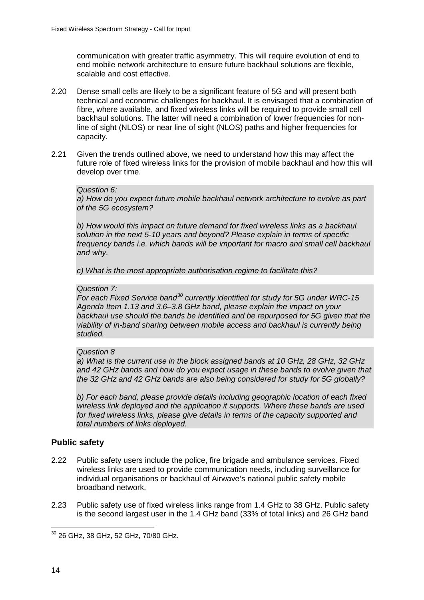communication with greater traffic asymmetry. This will require evolution of end to end mobile network architecture to ensure future backhaul solutions are flexible, scalable and cost effective.

- 2.20 Dense small cells are likely to be a significant feature of 5G and will present both technical and economic challenges for backhaul. It is envisaged that a combination of fibre, where available, and fixed wireless links will be required to provide small cell backhaul solutions. The latter will need a combination of lower frequencies for nonline of sight (NLOS) or near line of sight (NLOS) paths and higher frequencies for capacity.
- 2.21 Given the trends outlined above, we need to understand how this may affect the future role of fixed wireless links for the provision of mobile backhaul and how this will develop over time.

#### *Question 6:*

*a) How do you expect future mobile backhaul network architecture to evolve as part of the 5G ecosystem?*

*b) How would this impact on future demand for fixed wireless links as a backhaul solution in the next 5-10 years and beyond? Please explain in terms of specific frequency bands i.e. which bands will be important for macro and small cell backhaul and why.* 

*c) What is the most appropriate authorisation regime to facilitate this?*

### *Question 7:*

*For each Fixed Service band[30](#page-16-0) currently identified for study for 5G under WRC-15 Agenda Item 1.13 and 3.6–3.8 GHz band, please explain the impact on your backhaul use should the bands be identified and be repurposed for 5G given that the viability of in-band sharing between mobile access and backhaul is currently being studied.* 

#### *Question 8*

*a) What is the current use in the block assigned bands at 10 GHz, 28 GHz, 32 GHz and 42 GHz bands and how do you expect usage in these bands to evolve given that the 32 GHz and 42 GHz bands are also being considered for study for 5G globally?*

*b) For each band, please provide details including geographic location of each fixed wireless link deployed and the application it supports. Where these bands are used for fixed wireless links, please give details in terms of the capacity supported and total numbers of links deployed.*

### **Public safety**

- 2.22 Public safety users include the police, fire brigade and ambulance services. Fixed wireless links are used to provide communication needs, including surveillance for individual organisations or backhaul of Airwave's national public safety mobile broadband network.
- 2.23 Public safety use of fixed wireless links range from 1.4 GHz to 38 GHz. Public safety is the second largest user in the 1.4 GHz band (33% of total links) and 26 GHz band

<span id="page-16-0"></span> $^{30}$  26 GHz, 38 GHz, 52 GHz, 70/80 GHz.  $\overline{a}$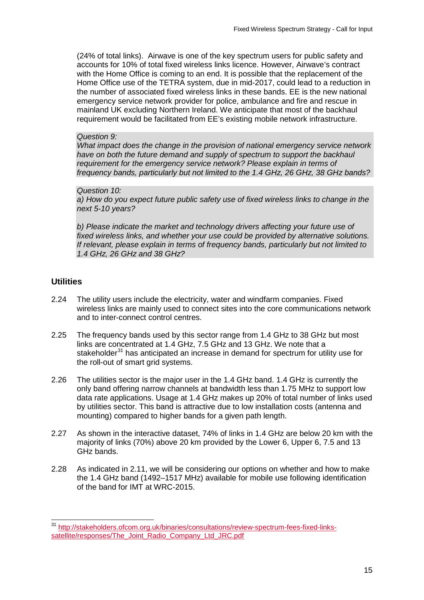(24% of total links). Airwave is one of the key spectrum users for public safety and accounts for 10% of total fixed wireless links licence. However, Airwave's contract with the Home Office is coming to an end. It is possible that the replacement of the Home Office use of the TETRA system, due in mid-2017, could lead to a reduction in the number of associated fixed wireless links in these bands. EE is the new national emergency service network provider for police, ambulance and fire and rescue in mainland UK excluding Northern Ireland. We anticipate that most of the backhaul requirement would be facilitated from EE's existing mobile network infrastructure.

### *Question 9:*

*What impact does the change in the provision of national emergency service network*  have on both the future demand and supply of spectrum to support the backhaul *requirement for the emergency service network? Please explain in terms of frequency bands, particularly but not limited to the 1.4 GHz, 26 GHz, 38 GHz bands?*

### *Question 10:*

*a) How do you expect future public safety use of fixed wireless links to change in the next 5-10 years?* 

*b) Please indicate the market and technology drivers affecting your future use of fixed wireless links, and whether your use could be provided by alternative solutions. If relevant, please explain in terms of frequency bands, particularly but not limited to 1.4 GHz, 26 GHz and 38 GHz?* 

## **Utilities**

- 2.24 The utility users include the electricity, water and windfarm companies. Fixed wireless links are mainly used to connect sites into the core communications network and to inter-connect control centres.
- 2.25 The frequency bands used by this sector range from 1.4 GHz to 38 GHz but most links are concentrated at 1.4 GHz, 7.5 GHz and 13 GHz. We note that a stakeholder<sup>[31](#page-17-0)</sup> has anticipated an increase in demand for spectrum for utility use for the roll-out of smart grid systems.
- 2.26 The utilities sector is the major user in the 1.4 GHz band. 1.4 GHz is currently the only band offering narrow channels at bandwidth less than 1.75 MHz to support low data rate applications. Usage at 1.4 GHz makes up 20% of total number of links used by utilities sector. This band is attractive due to low installation costs (antenna and mounting) compared to higher bands for a given path length.
- 2.27 As shown in the interactive dataset, 74% of links in 1.4 GHz are below 20 km with the majority of links (70%) above 20 km provided by the Lower 6, Upper 6, 7.5 and 13 GHz bands.
- 2.28 As indicated in 2.11, we will be considering our options on whether and how to make the 1.4 GHz band (1492–1517 MHz) available for mobile use following identification of the band for IMT at WRC-2015.

<span id="page-17-0"></span><sup>&</sup>lt;sup>31</sup> [http://stakeholders.ofcom.org.uk/binaries/consultations/review-spectrum-fees-fixed-links](http://stakeholders.ofcom.org.uk/binaries/consultations/review-spectrum-fees-fixed-links-satellite/responses/The_Joint_Radio_Company_Ltd_JRC.pdf)[satellite/responses/The\\_Joint\\_Radio\\_Company\\_Ltd\\_JRC.pdf](http://stakeholders.ofcom.org.uk/binaries/consultations/review-spectrum-fees-fixed-links-satellite/responses/The_Joint_Radio_Company_Ltd_JRC.pdf)  $\overline{a}$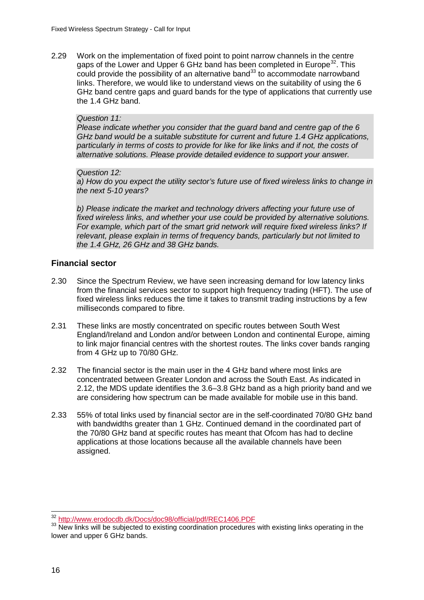2.29 Work on the implementation of fixed point to point narrow channels in the centre gaps of the Lower and Upper 6 GHz band has been completed in Europe<sup>[32](#page-18-0)</sup>. This could provide the possibility of an alternative band<sup>[33](#page-18-1)</sup> to accommodate narrowband links. Therefore, we would like to understand views on the suitability of using the 6 GHz band centre gaps and guard bands for the type of applications that currently use the 1.4 GHz band.

#### *Question 11:*

*Please indicate whether you consider that the guard band and centre gap of the 6 GHz band would be a suitable substitute for current and future 1.4 GHz applications, particularly in terms of costs to provide for like for like links and if not, the costs of alternative solutions. Please provide detailed evidence to support your answer.*

#### *Question 12:*

*a) How do you expect the utility sector's future use of fixed wireless links to change in the next 5-10 years?* 

*b) Please indicate the market and technology drivers affecting your future use of fixed wireless links, and whether your use could be provided by alternative solutions. For example, which part of the smart grid network will require fixed wireless links? If relevant, please explain in terms of frequency bands, particularly but not limited to the 1.4 GHz, 26 GHz and 38 GHz bands.*

## **Financial sector**

- 2.30 Since the Spectrum Review, we have seen increasing demand for low latency links from the financial services sector to support high frequency trading (HFT). The use of fixed wireless links reduces the time it takes to transmit trading instructions by a few milliseconds compared to fibre.
- 2.31 These links are mostly concentrated on specific routes between South West England/Ireland and London and/or between London and continental Europe, aiming to link major financial centres with the shortest routes. The links cover bands ranging from 4 GHz up to 70/80 GHz.
- 2.32 The financial sector is the main user in the 4 GHz band where most links are concentrated between Greater London and across the South East. As indicated in 2.12, the MDS update identifies the 3.6–3.8 GHz band as a high priority band and we are considering how spectrum can be made available for mobile use in this band.
- 2.33 55% of total links used by financial sector are in the self-coordinated 70/80 GHz band with bandwidths greater than 1 GHz. Continued demand in the coordinated part of the 70/80 GHz band at specific routes has meant that Ofcom has had to decline applications at those locations because all the available channels have been assigned.

<span id="page-18-0"></span><sup>&</sup>lt;sup>32</sup> http://www.erodocdb.dk/Docs/doc98/official/pdf/REC1406.PDF

<span id="page-18-1"></span><sup>&</sup>lt;sup>33</sup> New links will be subjected to existing coordination procedures with existing links operating in the lower and upper 6 GHz bands.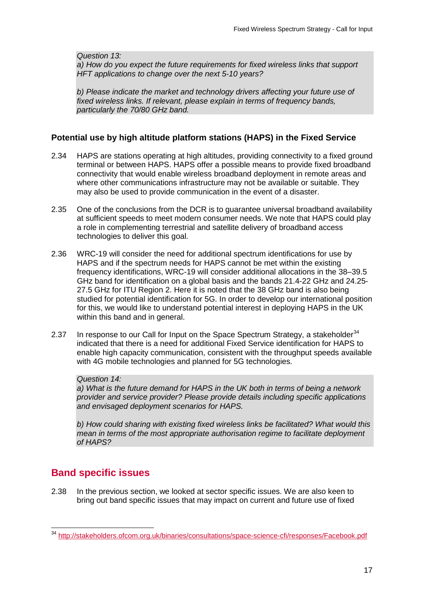*Question 13:*

*a) How do you expect the future requirements for fixed wireless links that support HFT applications to change over the next 5-10 years?* 

*b) Please indicate the market and technology drivers affecting your future use of fixed wireless links. If relevant, please explain in terms of frequency bands, particularly the 70/80 GHz band.*

## **Potential use by high altitude platform stations (HAPS) in the Fixed Service**

- 2.34 HAPS are stations operating at high altitudes, providing connectivity to a fixed ground terminal or between HAPS. HAPS offer a possible means to provide fixed broadband connectivity that would enable wireless broadband deployment in remote areas and where other communications infrastructure may not be available or suitable. They may also be used to provide communication in the event of a disaster.
- 2.35 One of the conclusions from the DCR is to guarantee universal broadband availability at sufficient speeds to meet modern consumer needs. We note that HAPS could play a role in complementing terrestrial and satellite delivery of broadband access technologies to deliver this goal.
- 2.36 WRC-19 will consider the need for additional spectrum identifications for use by HAPS and if the spectrum needs for HAPS cannot be met within the existing frequency identifications, WRC-19 will consider additional allocations in the 38–39.5 GHz band for identification on a global basis and the bands 21.4-22 GHz and 24.25- 27.5 GHz for ITU Region 2. Here it is noted that the 38 GHz band is also being studied for potential identification for 5G. In order to develop our international position for this, we would like to understand potential interest in deploying HAPS in the UK within this band and in general.
- 2.37 In response to our Call for Input on the Space Spectrum Strategy, a stakeholder  $34$ indicated that there is a need for additional Fixed Service identification for HAPS to enable high capacity communication, consistent with the throughput speeds available with 4G mobile technologies and planned for 5G technologies.

### *Question 14:*

*a) What is the future demand for HAPS in the UK both in terms of being a network provider and service provider? Please provide details including specific applications and envisaged deployment scenarios for HAPS.*

*b) How could sharing with existing fixed wireless links be facilitated? What would this mean in terms of the most appropriate authorisation regime to facilitate deployment of HAPS?*

# **Band specific issues**

2.38 In the previous section, we looked at sector specific issues. We are also keen to bring out band specific issues that may impact on current and future use of fixed

<span id="page-19-0"></span><sup>&</sup>lt;sup>34</sup> <http://stakeholders.ofcom.org.uk/binaries/consultations/space-science-cfi/responses/Facebook.pdf>  $\overline{a}$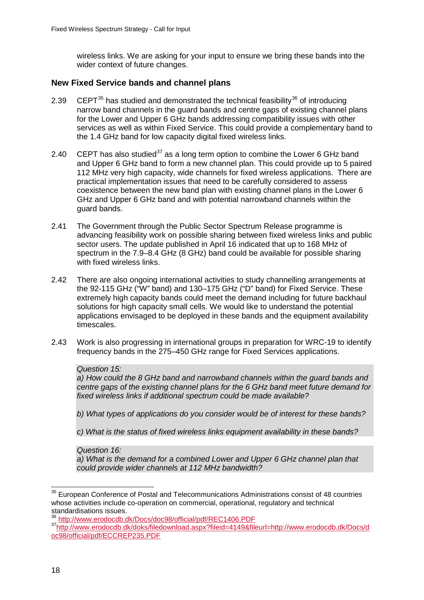wireless links. We are asking for your input to ensure we bring these bands into the wider context of future changes.

## **New Fixed Service bands and channel plans**

- 2.39 CEPT $^{35}$  $^{35}$  $^{35}$  has studied and demonstrated the technical feasibility $^{36}$  $^{36}$  $^{36}$  of introducing narrow band channels in the guard bands and centre gaps of existing channel plans for the Lower and Upper 6 GHz bands addressing compatibility issues with other services as well as within Fixed Service. This could provide a complementary band to the 1.4 GHz band for low capacity digital fixed wireless links.
- 2.40 CEPT has also studied<sup>[37](#page-20-2)</sup> as a long term option to combine the Lower 6 GHz band and Upper 6 GHz band to form a new channel plan. This could provide up to 5 paired 112 MHz very high capacity, wide channels for fixed wireless applications. There are practical implementation issues that need to be carefully considered to assess coexistence between the new band plan with existing channel plans in the Lower 6 GHz and Upper 6 GHz band and with potential narrowband channels within the guard bands.
- 2.41 The Government through the Public Sector Spectrum Release programme is advancing feasibility work on possible sharing between fixed wireless links and public sector users. The update published in April 16 indicated that up to 168 MHz of spectrum in the 7.9–8.4 GHz (8 GHz) band could be available for possible sharing with fixed wireless links.
- 2.42 There are also ongoing international activities to study channelling arrangements at the 92-115 GHz ("W" band) and 130–175 GHz ("D" band) for Fixed Service. These extremely high capacity bands could meet the demand including for future backhaul solutions for high capacity small cells. We would like to understand the potential applications envisaged to be deployed in these bands and the equipment availability timescales.
- 2.43 Work is also progressing in international groups in preparation for WRC-19 to identify frequency bands in the 275–450 GHz range for Fixed Services applications.

### *Question 15:*

*a) How could the 8 GHz band and narrowband channels within the guard bands and centre gaps of the existing channel plans for the 6 GHz band meet future demand for fixed wireless links if additional spectrum could be made available?*

*b) What types of applications do you consider would be of interest for these bands?*

*c) What is the status of fixed wireless links equipment availability in these bands?*

*Question 16: a) What is the demand for a combined Lower and Upper 6 GHz channel plan that could provide wider channels at 112 MHz bandwidth?* 

<span id="page-20-0"></span> $35$  European Conference of Postal and Telecommunications Administrations consist of 48 countries whose activities include co-operation on commercial, operational, regulatory and technical standardisations issues.<br><sup>36</sup> http://www.erodocdb.dk/Docs/doc98/official/pdf/REC1406.PDF  $\overline{a}$ 

<span id="page-20-2"></span><span id="page-20-1"></span><sup>37</sup> http://www.erodocdb.dk/doks/filedownload.aspx?fileid=4149&fileurl=http://www.erodocdb.dk/Docs/d [oc98/official/pdf/ECCREP235.PDF](http://www.erodocdb.dk/doks/filedownload.aspx?fileid=4149&fileurl=http://www.erodocdb.dk/Docs/doc98/official/pdf/ECCREP235.PDF)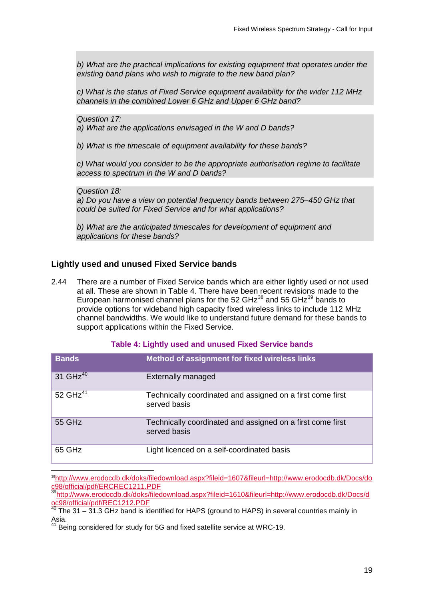*b) What are the practical implications for existing equipment that operates under the existing band plans who wish to migrate to the new band plan?* 

*c) What is the status of Fixed Service equipment availability for the wider 112 MHz channels in the combined Lower 6 GHz and Upper 6 GHz band?*

*Question 17:* 

*a) What are the applications envisaged in the W and D bands?* 

*b) What is the timescale of equipment availability for these bands?* 

*c) What would you consider to be the appropriate authorisation regime to facilitate access to spectrum in the W and D bands?*

*Question 18:* 

*a) Do you have a view on potential frequency bands between 275–450 GHz that could be suited for Fixed Service and for what applications?*

*b) What are the anticipated timescales for development of equipment and applications for these bands?*

## **Lightly used and unused Fixed Service bands**

2.44 There are a number of Fixed Service bands which are either lightly used or not used at all. These are shown in Table 4. There have been recent revisions made to the European harmonised channel plans for the 52 GHz $^{38}$  $^{38}$  $^{38}$  and 55 GHz $^{39}$  $^{39}$  $^{39}$  bands to provide options for wideband high capacity fixed wireless links to include 112 MHz channel bandwidths. We would like to understand future demand for these bands to support applications within the Fixed Service.

### **Table 4: Lightly used and unused Fixed Service bands**

| <b>Bands</b>         | Method of assignment for fixed wireless links                              |
|----------------------|----------------------------------------------------------------------------|
| 31 GHz <sup>40</sup> | <b>Externally managed</b>                                                  |
| 52 GHz <sup>41</sup> | Technically coordinated and assigned on a first come first<br>served basis |
| 55 GHz               | Technically coordinated and assigned on a first come first<br>served basis |
| 65 GHz               | Light licenced on a self-coordinated basis                                 |

<span id="page-21-0"></span>[38http://www.erodocdb.dk/doks/filedownload.aspx?fileid=1607&fileurl=http://www.erodocdb.dk/Docs/do](http://www.erodocdb.dk/doks/filedownload.aspx?fileid=1607&fileurl=http://www.erodocdb.dk/Docs/doc98/official/pdf/ERCREC1211.PDF) [c98/official/pdf/ERCREC1211.PDF](http://www.erodocdb.dk/doks/filedownload.aspx?fileid=1607&fileurl=http://www.erodocdb.dk/Docs/doc98/official/pdf/ERCREC1211.PDF) -

<span id="page-21-1"></span>[39http://www.erodocdb.dk/doks/filedownload.aspx?fileid=1610&fileurl=http://www.erodocdb.dk/Docs/d](http://www.erodocdb.dk/doks/filedownload.aspx?fileid=1610&fileurl=http://www.erodocdb.dk/Docs/doc98/official/pdf/REC1212.PDF) [oc98/official/pdf/REC1212.PDF](http://www.erodocdb.dk/doks/filedownload.aspx?fileid=1610&fileurl=http://www.erodocdb.dk/Docs/doc98/official/pdf/REC1212.PDF)

<span id="page-21-2"></span> $40$  The 31 – 31.3 GHz band is identified for HAPS (ground to HAPS) in several countries mainly in Asia.

<span id="page-21-3"></span> $41$  Being considered for study for 5G and fixed satellite service at WRC-19.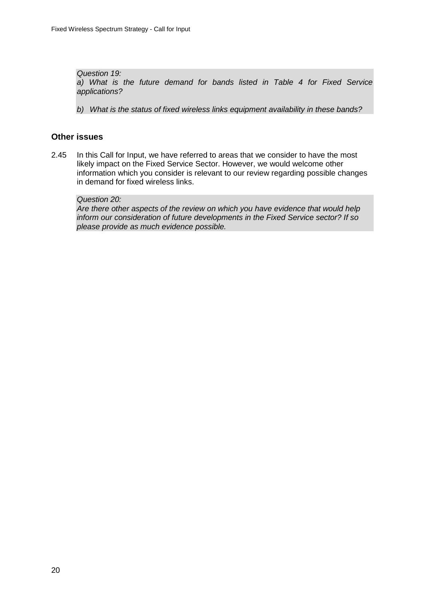*Question 19: a) What is the future demand for bands listed in Table 4 for Fixed Service applications?*

*b) What is the status of fixed wireless links equipment availability in these bands?*

## **Other issues**

2.45 In this Call for Input, we have referred to areas that we consider to have the most likely impact on the Fixed Service Sector. However, we would welcome other information which you consider is relevant to our review regarding possible changes in demand for fixed wireless links.

### *Question 20:*

*Are there other aspects of the review on which you have evidence that would help inform our consideration of future developments in the Fixed Service sector? If so please provide as much evidence possible.*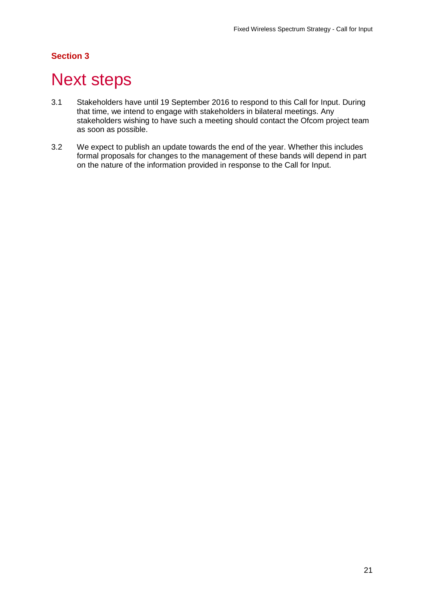# **Section 3**

# <span id="page-23-0"></span>**Next steps**

- 3.1 Stakeholders have until 19 September 2016 to respond to this Call for Input. During that time, we intend to engage with stakeholders in bilateral meetings. Any stakeholders wishing to have such a meeting should contact the Ofcom project team as soon as possible.
- 3.2 We expect to publish an update towards the end of the year. Whether this includes formal proposals for changes to the management of these bands will depend in part on the nature of the information provided in response to the Call for Input.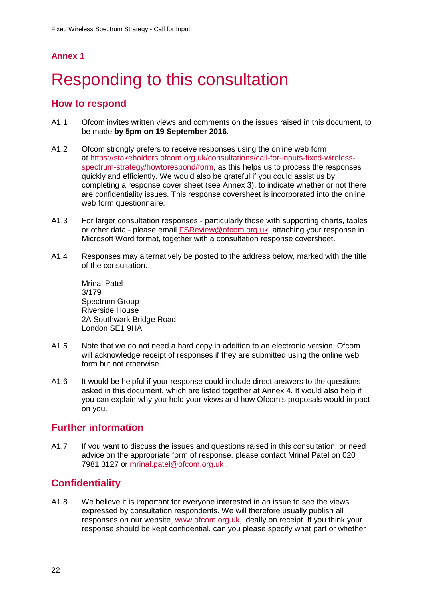## **Annex 1**

# <span id="page-24-0"></span>Responding to this consultation

## **How to respond**

- A1.1 Ofcom invites written views and comments on the issues raised in this document, to be made **by 5pm on 19 September 2016**.
- A1.2 Ofcom strongly prefers to receive responses using the online web form at [https://stakeholders.ofcom.org.uk/consultations/call-for-inputs-fixed-wireless](https://stakeholders.ofcom.org.uk/consultations/call-for-inputs-fixed-wireless-spectrum-strategy/howtorespond/form)[spectrum-strategy/howtorespond/form,](https://stakeholders.ofcom.org.uk/consultations/call-for-inputs-fixed-wireless-spectrum-strategy/howtorespond/form) as this helps us to process the responses quickly and efficiently. We would also be grateful if you could assist us by completing a response cover sheet (see Annex 3), to indicate whether or not there are confidentiality issues. This response coversheet is incorporated into the online web form questionnaire.
- A1.3 For larger consultation responses particularly those with supporting charts, tables or other data - please email [FSReview@ofcom.org.uk](mailto:FSReview@ofcom.org.uk) attaching your response in Microsoft Word format, together with a consultation response coversheet.
- A1.4 Responses may alternatively be posted to the address below, marked with the title of the consultation.

Mrinal Patel 3/179 Spectrum Group Riverside House 2A Southwark Bridge Road London SE1 9HA

- A1.5 Note that we do not need a hard copy in addition to an electronic version. Ofcom will acknowledge receipt of responses if they are submitted using the online web form but not otherwise.
- A1.6 It would be helpful if your response could include direct answers to the questions asked in this document, which are listed together at Annex 4. It would also help if you can explain why you hold your views and how Ofcom's proposals would impact on you.

## **Further information**

A1.7 If you want to discuss the issues and questions raised in this consultation, or need advice on the appropriate form of response, please contact Mrinal Patel on 020 7981 3127 or [mrinal.patel@ofcom.org.uk](mailto:mrinal.patel@ofcom.org.uk) .

# **Confidentiality**

A1.8 We believe it is important for everyone interested in an issue to see the views expressed by consultation respondents. We will therefore usually publish all responses on our website, [www.ofcom.org.uk,](http://www.ofcom.org.uk/) ideally on receipt. If you think your response should be kept confidential, can you please specify what part or whether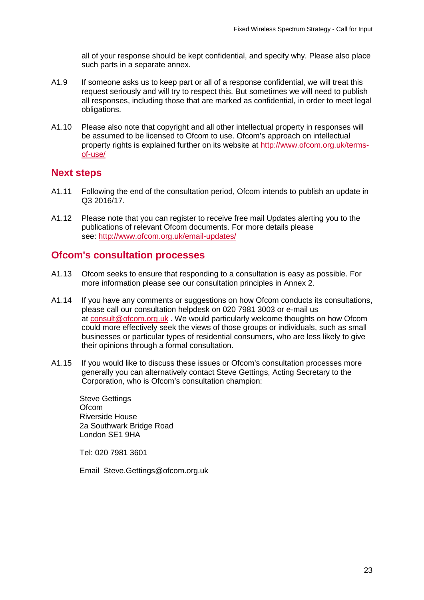all of your response should be kept confidential, and specify why. Please also place such parts in a separate annex.

- A1.9 If someone asks us to keep part or all of a response confidential, we will treat this request seriously and will try to respect this. But sometimes we will need to publish all responses, including those that are marked as confidential, in order to meet legal obligations.
- A1.10 Please also note that copyright and all other intellectual property in responses will be assumed to be licensed to Ofcom to use. Ofcom's approach on intellectual property rights is explained further on its website at [http://www.ofcom.org.uk/terms](http://www.ofcom.org.uk/terms-of-use/)[of-use/](http://www.ofcom.org.uk/terms-of-use/)

## **Next steps**

- A1.11 Following the end of the consultation period, Ofcom intends to publish an update in Q3 2016/17.
- A1.12 Please note that you can register to receive free mail Updates alerting you to the publications of relevant Ofcom documents. For more details please see:<http://www.ofcom.org.uk/email-updates/>

## **Ofcom's consultation processes**

- A1.13 Ofcom seeks to ensure that responding to a consultation is easy as possible. For more information please see our consultation principles in Annex 2.
- A1.14 If you have any comments or suggestions on how Ofcom conducts its consultations, please call our consultation helpdesk on 020 7981 3003 or e-mail us at [consult@ofcom.org.uk](mailto:consult@ofcom.org.uk) . We would particularly welcome thoughts on how Ofcom could more effectively seek the views of those groups or individuals, such as small businesses or particular types of residential consumers, who are less likely to give their opinions through a formal consultation.
- A1.15 If you would like to discuss these issues or Ofcom's consultation processes more generally you can alternatively contact Steve Gettings, Acting Secretary to the Corporation, who is Ofcom's consultation champion:

Steve Gettings **Ofcom** Riverside House 2a Southwark Bridge Road London SE1 9HA

Tel: 020 7981 3601

Email Steve.Gettings@ofcom.org.uk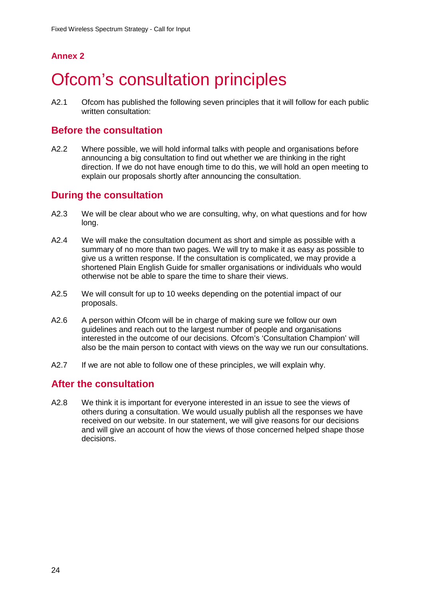# **Annex 2**

# <span id="page-26-0"></span>**Ofcom's consultation principles**

A2.1 Ofcom has published the following seven principles that it will follow for each public written consultation:

## **Before the consultation**

A2.2 Where possible, we will hold informal talks with people and organisations before announcing a big consultation to find out whether we are thinking in the right direction. If we do not have enough time to do this, we will hold an open meeting to explain our proposals shortly after announcing the consultation.

## **During the consultation**

- A2.3 We will be clear about who we are consulting, why, on what questions and for how long.
- A2.4 We will make the consultation document as short and simple as possible with a summary of no more than two pages. We will try to make it as easy as possible to give us a written response. If the consultation is complicated, we may provide a shortened Plain English Guide for smaller organisations or individuals who would otherwise not be able to spare the time to share their views.
- A2.5 We will consult for up to 10 weeks depending on the potential impact of our proposals.
- A2.6 A person within Ofcom will be in charge of making sure we follow our own guidelines and reach out to the largest number of people and organisations interested in the outcome of our decisions. Ofcom's 'Consultation Champion' will also be the main person to contact with views on the way we run our consultations.
- A2.7 If we are not able to follow one of these principles, we will explain why.

## **After the consultation**

A2.8 We think it is important for everyone interested in an issue to see the views of others during a consultation. We would usually publish all the responses we have received on our website. In our statement, we will give reasons for our decisions and will give an account of how the views of those concerned helped shape those decisions.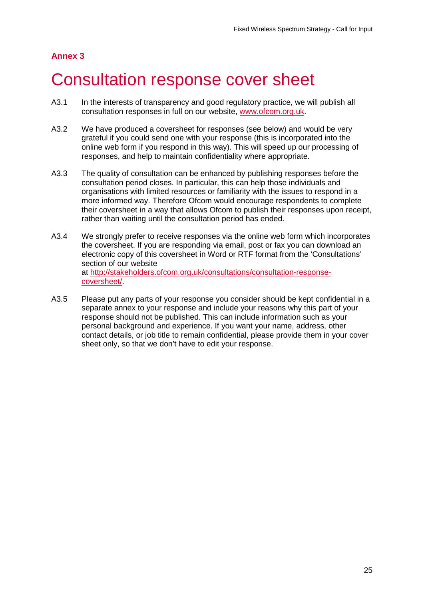# **Annex 3**

# <span id="page-27-0"></span>3 Consultation response cover sheet

- A3.1 In the interests of transparency and good regulatory practice, we will publish all consultation responses in full on our website, [www.ofcom.org.uk.](http://www.ofcom.org.uk/)
- A3.2 We have produced a coversheet for responses (see below) and would be very grateful if you could send one with your response (this is incorporated into the online web form if you respond in this way). This will speed up our processing of responses, and help to maintain confidentiality where appropriate.
- A3.3 The quality of consultation can be enhanced by publishing responses before the consultation period closes. In particular, this can help those individuals and organisations with limited resources or familiarity with the issues to respond in a more informed way. Therefore Ofcom would encourage respondents to complete their coversheet in a way that allows Ofcom to publish their responses upon receipt, rather than waiting until the consultation period has ended.
- A3.4 We strongly prefer to receive responses via the online web form which incorporates the coversheet. If you are responding via email, post or fax you can download an electronic copy of this coversheet in Word or RTF format from the 'Consultations' section of our website at [http://stakeholders.ofcom.org.uk/consultations/consultation-response](http://stakeholders.ofcom.org.uk/consultations/consultation-response-coversheet/)[coversheet/.](http://stakeholders.ofcom.org.uk/consultations/consultation-response-coversheet/)
- A3.5 Please put any parts of your response you consider should be kept confidential in a separate annex to your response and include your reasons why this part of your response should not be published. This can include information such as your personal background and experience. If you want your name, address, other contact details, or job title to remain confidential, please provide them in your cover sheet only, so that we don't have to edit your response.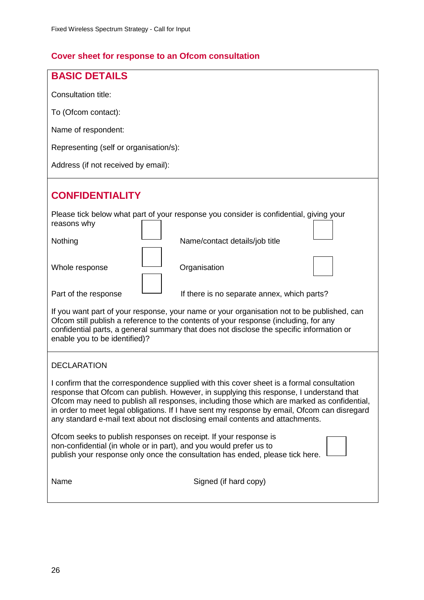# **Cover sheet for response to an Ofcom consultation**

| <b>BASIC DETAILS</b>                                                                                                                                                                                                                                                                                                                                                                                                                                                |  |  |  |  |  |
|---------------------------------------------------------------------------------------------------------------------------------------------------------------------------------------------------------------------------------------------------------------------------------------------------------------------------------------------------------------------------------------------------------------------------------------------------------------------|--|--|--|--|--|
| Consultation title:                                                                                                                                                                                                                                                                                                                                                                                                                                                 |  |  |  |  |  |
| To (Ofcom contact):                                                                                                                                                                                                                                                                                                                                                                                                                                                 |  |  |  |  |  |
| Name of respondent:                                                                                                                                                                                                                                                                                                                                                                                                                                                 |  |  |  |  |  |
| Representing (self or organisation/s):                                                                                                                                                                                                                                                                                                                                                                                                                              |  |  |  |  |  |
| Address (if not received by email):                                                                                                                                                                                                                                                                                                                                                                                                                                 |  |  |  |  |  |
| <b>CONFIDENTIALITY</b>                                                                                                                                                                                                                                                                                                                                                                                                                                              |  |  |  |  |  |
| Please tick below what part of your response you consider is confidential, giving your<br>reasons why                                                                                                                                                                                                                                                                                                                                                               |  |  |  |  |  |
| Nothing<br>Name/contact details/job title                                                                                                                                                                                                                                                                                                                                                                                                                           |  |  |  |  |  |
| Organisation<br>Whole response                                                                                                                                                                                                                                                                                                                                                                                                                                      |  |  |  |  |  |
| Part of the response<br>If there is no separate annex, which parts?                                                                                                                                                                                                                                                                                                                                                                                                 |  |  |  |  |  |
| If you want part of your response, your name or your organisation not to be published, can<br>Ofcom still publish a reference to the contents of your response (including, for any<br>confidential parts, a general summary that does not disclose the specific information or<br>enable you to be identified)?                                                                                                                                                     |  |  |  |  |  |
| <b>DECLARATION</b>                                                                                                                                                                                                                                                                                                                                                                                                                                                  |  |  |  |  |  |
| I confirm that the correspondence supplied with this cover sheet is a formal consultation<br>response that Ofcom can publish. However, in supplying this response, I understand that<br>Ofcom may need to publish all responses, including those which are marked as confidential,<br>in order to meet legal obligations. If I have sent my response by email, Ofcom can disregard<br>any standard e-mail text about not disclosing email contents and attachments. |  |  |  |  |  |
| Ofcom seeks to publish responses on receipt. If your response is<br>non-confidential (in whole or in part), and you would prefer us to<br>publish your response only once the consultation has ended, please tick here.                                                                                                                                                                                                                                             |  |  |  |  |  |
| Signed (if hard copy)<br>Name                                                                                                                                                                                                                                                                                                                                                                                                                                       |  |  |  |  |  |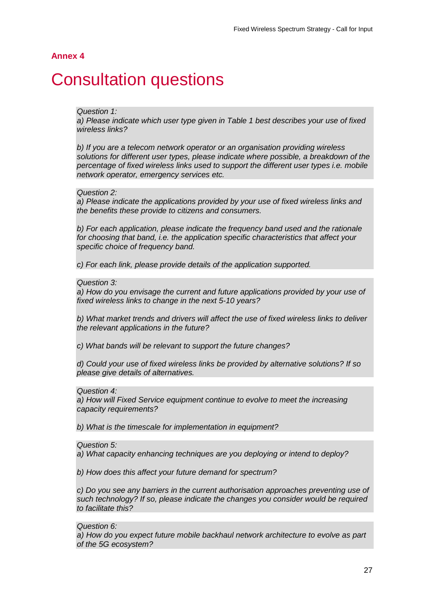### **Annex 4**

# <span id="page-29-0"></span>**Consultation questions**

#### *Question 1:*

a) Please indicate which user type given in Table 1 best describes your use of fixed *wireless links?* 

*b) If you are a telecom network operator or an organisation providing wireless solutions for different user types, please indicate where possible, a breakdown of the percentage of fixed wireless links used to support the different user types i.e. mobile network operator, emergency services etc.*

#### *Question 2:*

*a) Please indicate the applications provided by your use of fixed wireless links and the benefits these provide to citizens and consumers.* 

*b) For each application, please indicate the frequency band used and the rationale for choosing that band, i.e. the application specific characteristics that affect your specific choice of frequency band.* 

*c) For each link, please provide details of the application supported.*

### *Question 3:*

a) How do you envisage the current and future applications provided by your use of *fixed wireless links to change in the next 5-10 years?* 

*b) What market trends and drivers will affect the use of fixed wireless links to deliver the relevant applications in the future?* 

*c) What bands will be relevant to support the future changes?* 

*d) Could your use of fixed wireless links be provided by alternative solutions? If so please give details of alternatives.*

#### *Question 4:*

*a) How will Fixed Service equipment continue to evolve to meet the increasing capacity requirements?* 

*b) What is the timescale for implementation in equipment?*

#### *Question 5:*

*a) What capacity enhancing techniques are you deploying or intend to deploy?* 

*b) How does this affect your future demand for spectrum?*

*c) Do you see any barriers in the current authorisation approaches preventing use of such technology? If so, please indicate the changes you consider would be required to facilitate this?*

*Question 6:* 

*a) How do you expect future mobile backhaul network architecture to evolve as part of the 5G ecosystem?*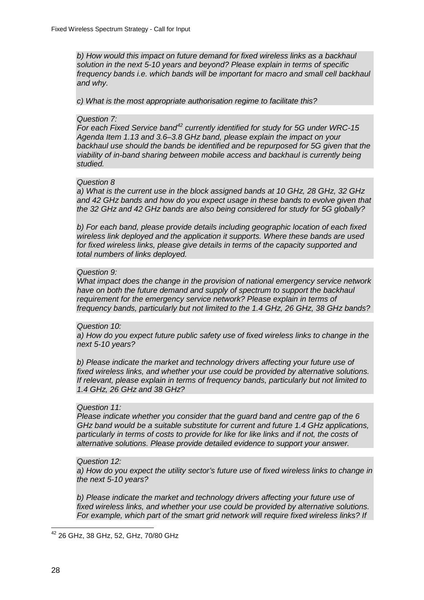*b) How would this impact on future demand for fixed wireless links as a backhaul solution in the next 5-10 years and beyond? Please explain in terms of specific*  frequency bands *i.e.* which bands will be important for macro and small cell backhaul *and why.* 

*c) What is the most appropriate authorisation regime to facilitate this?* 

#### *Question 7:*

*For each Fixed Service band[42](#page-30-0) currently identified for study for 5G under WRC-15 Agenda Item 1.13 and 3.6–3.8 GHz band, please explain the impact on your backhaul use should the bands be identified and be repurposed for 5G given that the viability of in-band sharing between mobile access and backhaul is currently being studied.* 

#### *Question 8*

*a) What is the current use in the block assigned bands at 10 GHz, 28 GHz, 32 GHz and 42 GHz bands and how do you expect usage in these bands to evolve given that the 32 GHz and 42 GHz bands are also being considered for study for 5G globally?* 

*b) For each band, please provide details including geographic location of each fixed wireless link deployed and the application it supports. Where these bands are used for fixed wireless links, please give details in terms of the capacity supported and total numbers of links deployed.*

#### *Question 9:*

*What impact does the change in the provision of national emergency service network*  have on both the future demand and supply of spectrum to support the backhaul requirement for the emergency service network? Please explain in terms of *frequency bands, particularly but not limited to the 1.4 GHz, 26 GHz, 38 GHz bands?*

#### *Question 10:*

*a) How do you expect future public safety use of fixed wireless links to change in the next 5-10 years?* 

*b) Please indicate the market and technology drivers affecting your future use of fixed wireless links, and whether your use could be provided by alternative solutions. If relevant, please explain in terms of frequency bands, particularly but not limited to 1.4 GHz, 26 GHz and 38 GHz?* 

#### *Question 11:*

*Please indicate whether you consider that the guard band and centre gap of the 6 GHz band would be a suitable substitute for current and future 1.4 GHz applications, particularly in terms of costs to provide for like for like links and if not, the costs of alternative solutions. Please provide detailed evidence to support your answer.*

#### *Question 12:*

*a) How do you expect the utility sector's future use of fixed wireless links to change in the next 5-10 years?* 

*b) Please indicate the market and technology drivers affecting your future use of fixed wireless links, and whether your use could be provided by alternative solutions. For example, which part of the smart grid network will require fixed wireless links? If* 

<span id="page-30-0"></span><sup>42</sup> 26 GHz, 38 GHz, 52, GHz, 70/80 GHz  $\overline{a}$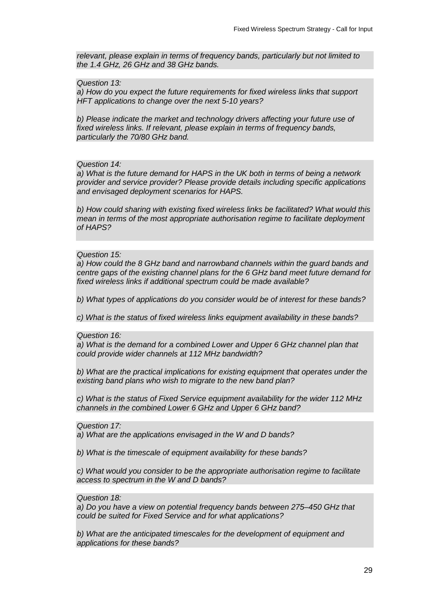*relevant, please explain in terms of frequency bands, particularly but not limited to the 1.4 GHz, 26 GHz and 38 GHz bands.* 

*Question 13:* 

*a) How do you expect the future requirements for fixed wireless links that support HFT applications to change over the next 5-10 years?* 

*b) Please indicate the market and technology drivers affecting your future use of fixed wireless links. If relevant, please explain in terms of frequency bands, particularly the 70/80 GHz band.* 

*Question 14:* 

*a) What is the future demand for HAPS in the UK both in terms of being a network provider and service provider? Please provide details including specific applications and envisaged deployment scenarios for HAPS.* 

*b) How could sharing with existing fixed wireless links be facilitated? What would this mean in terms of the most appropriate authorisation regime to facilitate deployment of HAPS?*

#### *Question 15:*

*a) How could the 8 GHz band and narrowband channels within the guard bands and centre gaps of the existing channel plans for the 6 GHz band meet future demand for fixed wireless links if additional spectrum could be made available?* 

*b) What types of applications do you consider would be of interest for these bands?* 

*c) What is the status of fixed wireless links equipment availability in these bands?*

#### *Question 16:*

*a) What is the demand for a combined Lower and Upper 6 GHz channel plan that could provide wider channels at 112 MHz bandwidth?* 

*b) What are the practical implications for existing equipment that operates under the existing band plans who wish to migrate to the new band plan?* 

*c) What is the status of Fixed Service equipment availability for the wider 112 MHz channels in the combined Lower 6 GHz and Upper 6 GHz band?*

*Question 17:* 

*a) What are the applications envisaged in the W and D bands?* 

*b) What is the timescale of equipment availability for these bands?* 

*c) What would you consider to be the appropriate authorisation regime to facilitate access to spectrum in the W and D bands?*

#### *Question 18:*

*a) Do you have a view on potential frequency bands between 275–450 GHz that could be suited for Fixed Service and for what applications?* 

*b) What are the anticipated timescales for the development of equipment and applications for these bands?*